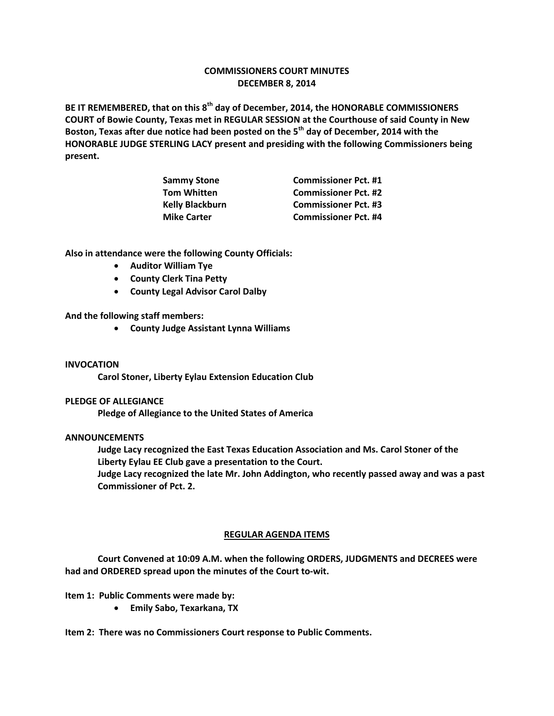# **COMMISSIONERS COURT MINUTES DECEMBER 8, 2014**

**BE IT REMEMBERED, that on this 8th day of December, 2014, the HONORABLE COMMISSIONERS COURT of Bowie County, Texas met in REGULAR SESSION at the Courthouse of said County in New Boston, Texas after due notice had been posted on the 5th day of December, 2014 with the HONORABLE JUDGE STERLING LACY present and presiding with the following Commissioners being present.**

| <b>Commissioner Pct. #1</b> |
|-----------------------------|
| <b>Commissioner Pct. #2</b> |
| <b>Commissioner Pct. #3</b> |
| <b>Commissioner Pct. #4</b> |
|                             |

**Also in attendance were the following County Officials:**

- **Auditor William Tye**
- **•** County Clerk Tina Petty
- **County Legal Advisor Carol Dalby**

**And the following staff members:**

**County Judge Assistant Lynna Williams**

## **INVOCATION**

**Carol Stoner, Liberty Eylau Extension Education Club**

## **PLEDGE OF ALLEGIANCE**

**Pledge of Allegiance to the United States of America**

## **ANNOUNCEMENTS**

**Judge Lacy recognized the East Texas Education Association and Ms. Carol Stoner of the Liberty Eylau EE Club gave a presentation to the Court.**

**Judge Lacy recognized the late Mr. John Addington, who recently passed away and was a past Commissioner of Pct. 2.**

## **REGULAR AGENDA ITEMS**

**Court Convened at 10:09 A.M. when the following ORDERS, JUDGMENTS and DECREES were had and ORDERED spread upon the minutes of the Court to-wit.**

**Item 1: Public Comments were made by:**

**Emily Sabo, Texarkana, TX**

**Item 2: There was no Commissioners Court response to Public Comments.**